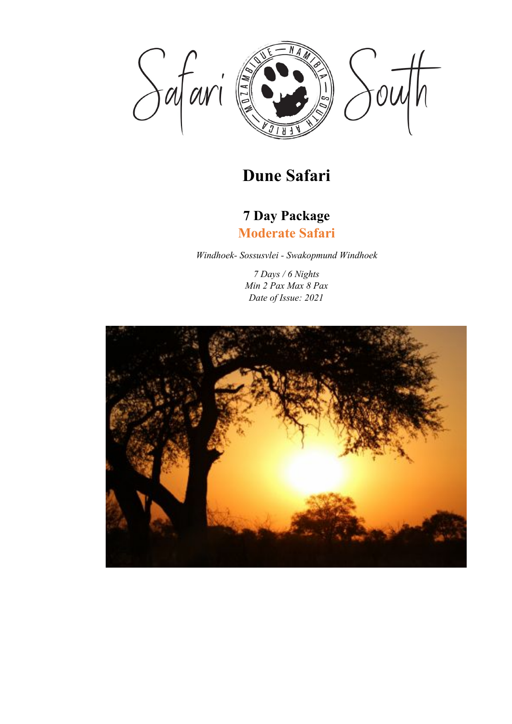

# **Dune Safari**

# **7 Day Package Moderate Safari**

*Windhoek- Sossusvlei - Swakopmund Windhoek*

*7 Days / 6 Nights Min 2 Pax Max 8 Pax Date of Issue: 2021*

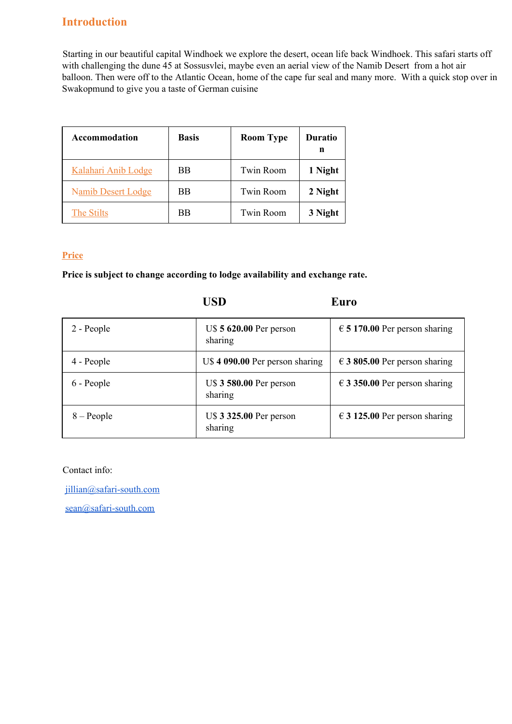### **Introduction**

Starting in our beautiful capital Windhoek we explore the desert, ocean life back Windhoek. This safari starts off with challenging the dune 45 at Sossusvlei, maybe even an aerial view of the Namib Desert from a hot air balloon. Then were off to the Atlantic Ocean, home of the cape fur seal and many more. With a quick stop over in Swakopmund to give you a taste of German cuisine

| Accommodation             | <b>Basis</b> | <b>Room Type</b> | <b>Duratio</b><br>n |
|---------------------------|--------------|------------------|---------------------|
| Kalahari Anib Lodge       | BB           | <b>Twin Room</b> | 1 Night             |
| <b>Namib Desert Lodge</b> | BB           | <b>Twin Room</b> | 2 Night             |
| The Stilts                | ВB           | <b>Twin Room</b> | 3 Night             |

### **Price**

**Price is subject to change according to lodge availability and exchange rate.**

|              | USD                                | Euro                                   |
|--------------|------------------------------------|----------------------------------------|
| 2 - People   | U\$ 5 620.00 Per person<br>sharing | $\epsilon$ 5 170.00 Per person sharing |
| 4 - People   | U\$4 090.00 Per person sharing     | $\epsilon$ 3 805.00 Per person sharing |
| 6 - People   | U\$ 3 580.00 Per person<br>sharing | $\in$ 3 350.00 Per person sharing      |
| $8 - People$ | U\$ 3 325.00 Per person<br>sharing | $\in$ 3 125.00 Per person sharing      |

Contact info:

[jillian@safari-south.com](mailto:jillian@safari-south.com)

[sean@safari-south.com](mailto:sean@safari-south.com)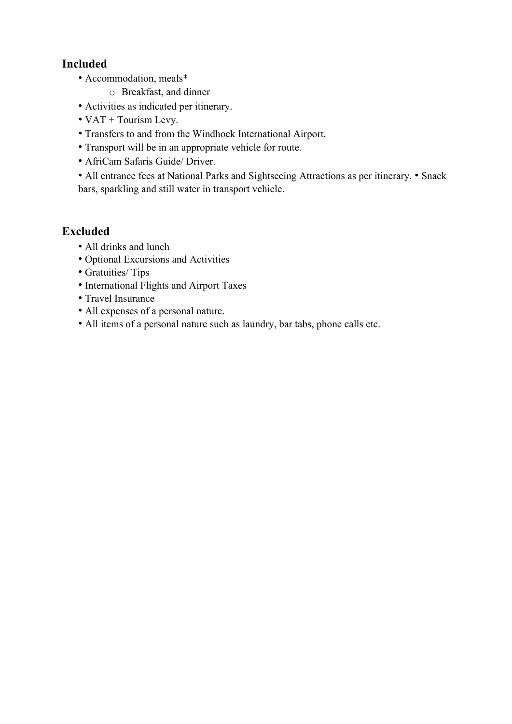## **Included**

- Accommodation, meals\*
	- o Breakfast, and dinner
- Activities as indicated per itinerary.
- VAT + Tourism Levy.
- Transfers to and from the Windhoek International Airport.
- Transport will be in an appropriate vehicle for route.
- AfriCam Safaris Guide/ Driver.
- All entrance fees at National Parks and Sightseeing Attractions as per itinerary. Snack bars, sparkling and still water in transport vehicle.

### **Excluded**

- All drinks and lunch
- Optional Excursions and Activities
- Gratuities/ Tips
- International Flights and Airport Taxes
- Travel Insurance
- All expenses of a personal nature.
- All items of a personal nature such as laundry, bar tabs, phone calls etc.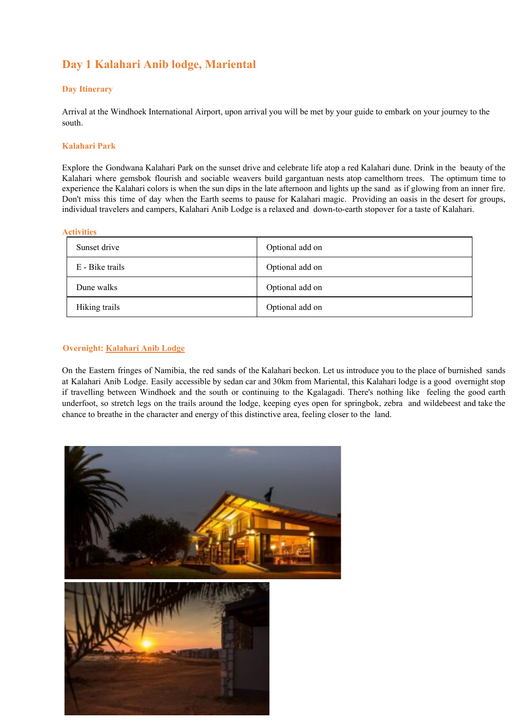# **Day 1 Kalahari Anib lodge, Mariental**

### **Day Itinerary**

Arrival at the Windhoek International Airport, upon arrival you will be met by your guide to embark on your journey to the south.

#### **Kalahari Park**

Explore the Gondwana Kalahari Park on the sunset drive and celebrate life atop a red Kalahari dune. Drink in the beauty of the Kalahari where gemsbok flourish and sociable weavers build gargantuan nests atop camelthorn trees. The optimum time to experience the Kalahari colors is when the sun dips in the late afternoon and lights up the sand as if glowing from an inner fire. Don't miss this time of day when the Earth seems to pause for Kalahari magic. Providing an oasis in the desert for groups, individual travelers and campers, Kalahari Anib Lodge is a relaxed and down-to-earth stopover for a taste of Kalahari.

#### **Activities**

| Sunset drive    | Optional add on |
|-----------------|-----------------|
| E - Bike trails | Optional add on |
| Dune walks      | Optional add on |
| Hiking trails   | Optional add on |

#### **Overnight: Kalahari Anib Lodge**

On the Eastern fringes of Namibia, the red sands of the Kalahari beckon. Let us introduce you to the place of burnished sands at Kalahari Anib Lodge. Easily accessible by sedan car and 30km from Mariental, this Kalahari lodge is a good overnight stop if travelling between Windhoek and the south or continuing to the Kgalagadi. There's nothing like feeling the good earth underfoot, so stretch legs on the trails around the lodge, keeping eyes open for springbok, zebra and wildebeest and take the chance to breathe in the character and energy of this distinctive area, feeling closer to the land.

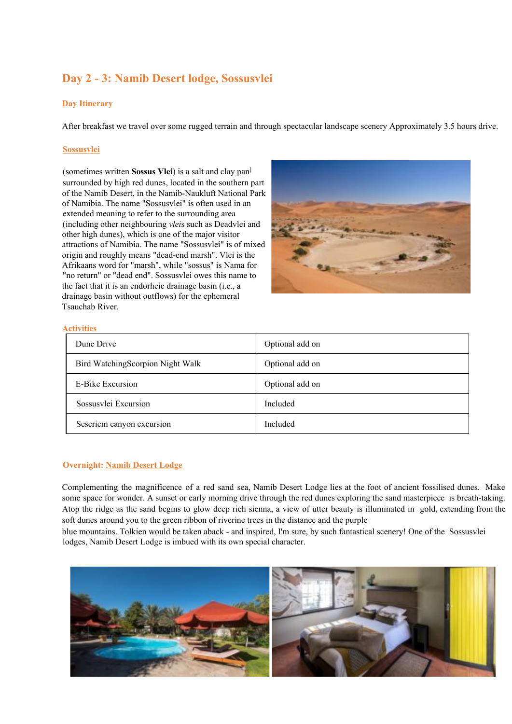## **Day 2 - 3: Namib Desert lodge, Sossusvlei**

#### **Day Itinerary**

After breakfast we travel over some rugged terrain and through spectacular landscape scenery Approximately 3.5 hours drive.

#### **Sossusvlei**

(sometimes written **Sossus Vlei**) is a salt and clay pan ] surrounded by high red dunes, located in the southern part of the Namib Desert, in the Namib-Naukluft National Park of Namibia. The name "Sossusvlei" is often used in an extended meaning to refer to the surrounding area (including other neighbouring *vlei*s such as Deadvlei and other high dunes), which is one of the major visitor attractions of Namibia. The name "Sossusvlei" is of mixed origin and roughly means "dead-end marsh". Vlei is the Afrikaans word for "marsh", while "sossus" is Nama for "no return" or "dead end". Sossusvlei owes this name to the fact that it is an endorheic drainage basin (i.e., a drainage basin without outflows) for the ephemeral Tsauchab River.



#### **Activities**

| Dune Drive                       | Optional add on |
|----------------------------------|-----------------|
| Bird WatchingScorpion Night Walk | Optional add on |
| E-Bike Excursion                 | Optional add on |
| Sossusylei Excursion             | Included        |
| Seseriem canyon excursion        | Included        |

#### **Overnight: Namib Desert Lodge**

Complementing the magnificence of a red sand sea, Namib Desert Lodge lies at the foot of ancient fossilised dunes. Make some space for wonder. A sunset or early morning drive through the red dunes exploring the sand masterpiece is breath-taking. Atop the ridge as the sand begins to glow deep rich sienna, a view of utter beauty is illuminated in gold, extending from the soft dunes around you to the green ribbon of riverine trees in the distance and the purple

blue mountains. Tolkien would be taken aback - and inspired, I'm sure, by such fantastical scenery! One of the Sossusvlei lodges, Namib Desert Lodge is imbued with its own special character.